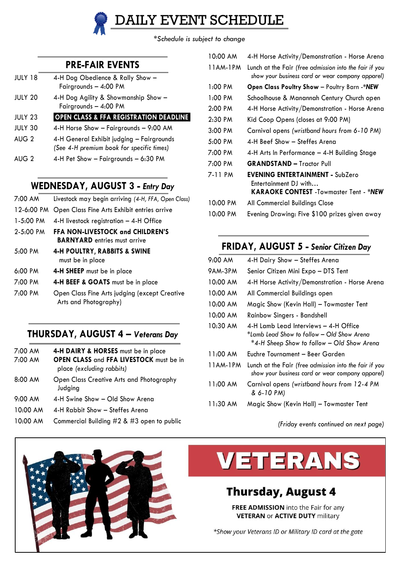*\*Schedule is subject to change*

DAILY EVENT SCHEDULE

#### **PRE-FAIR EVENTS**

| JULY 18        | 4-H Dog Obedience & Rally Show -<br>Fairgrounds - 4:00 PM                              |
|----------------|----------------------------------------------------------------------------------------|
| JULY 20        | 4-H Dog Agility & Showmanship Show -<br>Fairgrounds - 4:00 PM                          |
| JULY 23        | <b>OPEN CLASS &amp; FFA REGISTRATION DEADLINE</b>                                      |
| <b>JULY 30</b> | 4-H Horse Show - Fairgrounds - 9:00 AM                                                 |
| AUG 2          | 4-H General Exhibit judging - Fairgrounds<br>(See 4-H premium book for specific times) |
| AUG 2          | 4-H Pet Show - Fairgrounds - 6:30 PM                                                   |

#### **WEDNESDAY, AUGUST 3 -** *Entry Day*

| 7:00 AM       | Livestock may begin arriving (4-H, FFA, Open Class)                            |
|---------------|--------------------------------------------------------------------------------|
| 12-6:00 PM    | Open Class Fine Arts Exhibit entries arrive                                    |
| $1 - 5:00$ PM | 4-H livestock registration $-$ 4-H Office                                      |
| $2 - 5:00$ PM | <b>FFA NON-LIVESTOCK and CHILDREN'S</b><br><b>BARNYARD</b> entries must arrive |
| 5:00 PM       | <b>4-H POULTRY, RABBITS &amp; SWINE</b><br>must be in place                    |
| 6:00 PM       | 4-H SHEEP must be in place                                                     |
| 7:00 PM       | 4-H BEEF & GOATS must be in place                                              |
| 7:00 PM       | Open Class Fine Arts judging (except Creative<br>Arts and Photography)         |

#### **THURSDAY, AUGUST 4 –** *Veterans Day*

- 7:00 AM **4-H DAIRY & HORSES** must be in place
- 7:00 AM **OPEN CLASS** and **FFA LIVESTOCK** must be in place *(excluding rabbits)*
- 8:00 AM Open Class Creative Arts and Photography Judging
- 9:00 AM 4-H Swine Show Old Show Arena
- 10:00 AM 4-H Rabbit Show Steffes Arena
- 10:00 AM Commercial Building #2 & #3 open to public

| 10:00 AM       | 4-H Horse Activity/Demonstration - Horse Arena                                                                   |
|----------------|------------------------------------------------------------------------------------------------------------------|
| 11AM-1PM       | Lunch at the Fair (free admission into the fair if you<br>show your business card or wear company apparel)       |
| 1:00 PM        | Open Class Poultry Show - Poultry Barn -*NEW                                                                     |
| 1:00 PM        | Schoolhouse & Manannah Century Church open                                                                       |
| $2:00$ PM      | 4-H Horse Activity/Demonstration - Horse Arena                                                                   |
| $2:30$ PM      | Kid Coop Opens (closes at 9:00 PM)                                                                               |
| 3:00 PM        | Carnival opens (wristband hours from 6-10 PM)                                                                    |
| 5:00 PM        | 4-H Beef Show - Steffes Arena                                                                                    |
| 7:00 PM        | 4-H Arts In Performance - 4-H Building Stage                                                                     |
| 7:00 PM        | <b>GRANDSTAND - Tractor Pull</b>                                                                                 |
| 7-11 PM        | <b>EVENING ENTERTAINMENT - SubZero</b><br>Entertainment DJ with<br><b>KARAOKE CONTEST</b> -Towmaster Tent - *NEW |
| 10:00 PM       | All Commercial Buildings Close                                                                                   |
| <b>1000 BM</b> | $\sim$ $\sim$ $\sim$ $\sim$ $\sim$ $\sim$ $\sim$                                                                 |

10:00 PM Evening Drawing: Five \$100 prizes given away

### **FRIDAY, AUGUST 5 -** *Senior Citizen Day*

| 9:00 AM  | 4-H Dairy Show - Steffes Arena                                                                                                    |
|----------|-----------------------------------------------------------------------------------------------------------------------------------|
| 9AM-3PM  | Senior Citizen Mini Expo - DTS Tent                                                                                               |
| 10:00 AM | 4-H Horse Activity/Demonstration - Horse Arena                                                                                    |
| 10:00 AM | All Commercial Buildings open                                                                                                     |
| 10:00 AM | Magic Show (Kevin Hall) – Towmaster Tent                                                                                          |
| 10:00 AM | Rainbow Singers - Bandshell                                                                                                       |
| 10:30 AM | 4-H Lamb Lead Interviews – 4-H Office<br>*Lamb Lead Show to follow - Old Show Arena<br>*4-H Sheep Show to follow – Old Show Arena |
| 11:00 AM | Euchre Tournament – Beer Garden                                                                                                   |
| 11AM-1PM | Lunch at the Fair (free admission into the fair if you<br>show your business card or wear company apparel)                        |
| 11:00 AM | Carnival opens (wristband hours from 12-4 PM<br>& 6-10 PM)                                                                        |
| 11:30 AM | Magic Show (Kevin Hall) - Towmaster Tent                                                                                          |

*(Friday events continued on next page)*



# **VETERANS**

### **Thursday, August 4**

FREE ADMISSION into the Fair for any **VETERAN or ACTIVE DUTY military** 

\*Show your Veterans ID or Military ID card at the gate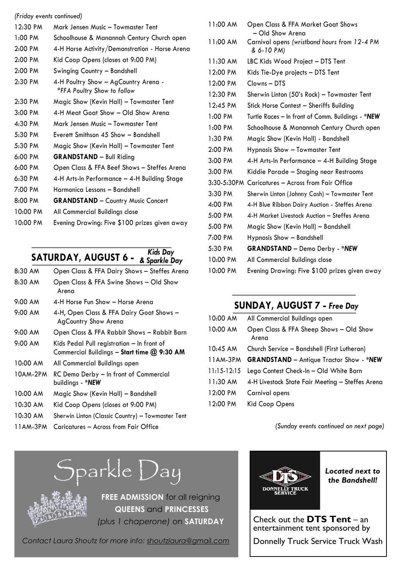| (Friday events continued) |                                                                     |
|---------------------------|---------------------------------------------------------------------|
| 12:30 PM                  | Mark Jensen Music – Towmaster Tent                                  |
| $1:00$ PM                 | Schoolhouse & Manannah Century Church open                          |
| 2:00 PM                   | 4-H Horse Activity/Demonstration - Horse Arena                      |
| 2:00 PM                   | Kid Coop Opens (closes at 9:00 PM)                                  |
| 2:00 PM                   | Swinging Country - Bandshell                                        |
| 2:30 PM                   | 4-H Poultry Show - AgCountry Arena -<br>*FFA Poultry Show to follow |
| 2:30 PM                   | Magic Show (Kevin Hall) - Towmaster Tent                            |
| $3:00$ PM                 | 4-H Meat Goat Show - Old Show Arena                                 |
| 4:30 PM                   | Mark Jensen Music – Towmaster Tent                                  |
| 5:30 PM                   | Everett Smithson 45 Show - Bandshell                                |
| 5:30 PM                   | Magic Show (Kevin Hall) - Towmaster Tent                            |
| 6:00 PM                   | <b>GRANDSTAND</b> - Bull Riding                                     |
| $6:00 \text{ PM}$         | Open Class & FFA Beef Shows - Steffes Arena                         |
| 6:30 PM                   | 4-H Arts-In Performance - 4-H Building Stage                        |
| 7:00 PM                   | Harmonica Lessons - Bandshell                                       |
| 8:00 PM                   | <b>GRANDSTAND</b> - Country Music Concert                           |
| 10:00 PM                  | All Commercial Buildings close                                      |
| 10:00 PM                  | Evening Drawing: Five \$100 prizes given away                       |

#### **SATURDAY, AUGUST 6 -** *& Sparkle DayKids Day*

| 8:30 AM  | Open Class & FFA Dairy Shows - Steffes Arena                                              |
|----------|-------------------------------------------------------------------------------------------|
| 8:30 AM  | Open Class & FFA Swine Shows - Old Show<br>Arena                                          |
| 9:00 AM  | 4-H Horse Fun Show – Horse Arena                                                          |
| 9:00 AM  | 4-H, Open Class & FFA Dairy Goat Shows –<br>AgCountry Show Arena                          |
| 9:00 AM  | Open Class & FFA Rabbit Shows — Rabbit Barn                                               |
| 9:00 AM  | Kids Pedal Pull registration - In front of<br>Commercial Buildings - Start time @ 9:30 AM |
| 10:00 AM | All Commercial Buildings open                                                             |
| 10AM-2PM | RC Demo Derby – In front of Commercial<br>buildings - *NEW                                |
| 10:00 AM | Magic Show (Kevin Hall) - Bandshell                                                       |
| 10:30 AM | Kid Coop Opens (closes at 9:00 PM)                                                        |
| 10:30 AM | Sherwin Linton (Classic Country) - Towmaster Tent                                         |
| 11AM-3PM | Caricatures – Across from Fair Office                                                     |

#### 11:00 AM Open Class & FFA Market Goat Shows – Old Show Arena 11:00 AM Carnival opens *(wristband hours from 12-4 PM & 6-10 PM)* 11:30 AM LBC Kids Wood Project – DTS Tent 12:00 PM Kids Tie-Dye projects – DTS Tent 12:00 PM Clowns – DTS 12:30 PM Sherwin Linton (50's Rock) – Towmaster Tent 12:45 PM Stick Horse Contest – Sheriffs Building 1:00 PM Turtle Races – In front of Comm. Buildings - *\*NEW* 1:00 PM Schoolhouse & Manannah Century Church open 1:30 PM Magic Show (Kevin Hall) - Bandshell 2:00 PM Hypnosis Show – Towmaster Tent 3:00 PM 4-H Arts-In Performance – 4-H Building Stage 3:00 PM Kiddie Parade – Staging near Restrooms 3:30-5:30PM Caricatures – Across from Fair Office 3:30 PM Sherwin Linton (Johnny Cash) – Towmaster Tent 4:00 PM 4-H Blue Ribbon Dairy Auction - Steffes Arena 5:00 PM 4-H Market Livestock Auction – Steffes Arena 5:00 PM Magic Show (Kevin Hall) – Bandshell 7:00 PM Hypnosis Show – Bandshell 5:30 PM **GRANDSTAND** – Demo Derby - *\*NEW* 10:00 PM All Commercial Buildings close 10:00 PM Evening Drawing: Five \$100 prizes given away

### **SUNDAY, AUGUST 7 -** *Free Day*

| 10:00 AM      | All Commercial Buildings open                                    |
|---------------|------------------------------------------------------------------|
| 10:00 AM      | Open Class & FFA Sheep Shows - Old Show<br>Arena                 |
| 10:45 AM      | Church Service - Bandshell (First Lutheran)                      |
|               | 11AM-3PM <b>GRANDSTAND</b> - Antique Tractor Show - * <b>NEW</b> |
| $11:15-12:15$ | Lego Contest Check-In - Old White Barn                           |
| 11:30 AM      | 4-H Livestock State Fair Meeting - Steffes Arena                 |
| 12:00 PM      | Carnival opens                                                   |
| 12:00 PM      | Kid Coop Opens                                                   |
|               |                                                                  |

*(Sunday events continued on next page)*

# Sparkle Day



**FREE ADMISSION** for all reigning **QUEENS** and **PRINCESSES**  *(plus 1 chaperone)* on **SATURDAY**

*Contact Laura Shoutz for more info: shoutzlaura@gmail.com*



*Located next to the Bandshell!*

Check out the **DTS Tent** – an entertainment tent sponsored by

Donnelly Truck Service Truck Wash